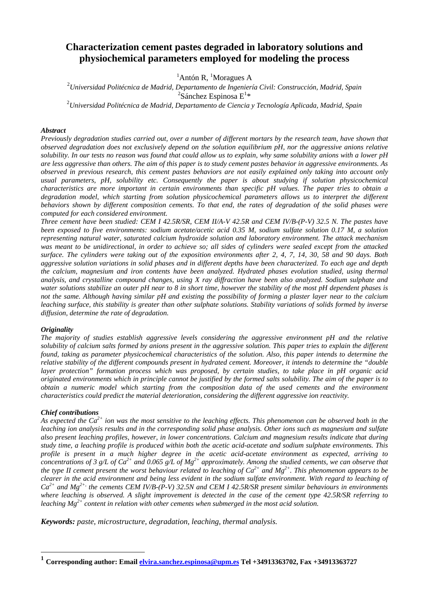# **Characterization cement pastes degraded in laboratory solutions and physiochemical parameters employed for modeling the process**

# ${}^{1}$ Antón R,  ${}^{1}$ Moragues A

2 *Universidad Politécnica de Madrid, Departamento de Ingeniería Civil: Construcción, Madrid, Spain*  <sup>2</sup>Sánchez Espinosa E<sup>1\*</sup>

2 *Universidad Politécnica de Madrid, Departamento de Ciencia y Tecnología Aplicada, Madrid, Spain* 

#### *Abstract*

*Previously degradation studies carried out, over a number of different mortars by the research team, have shown that observed degradation does not exclusively depend on the solution equilibrium pH, nor the aggressive anions relative solubility. In our tests no reason was found that could allow us to explain, why same solubility anions with a lower pH are less aggressive than others. The aim of this paper is to study cement pastes behavior in aggressive environments. As observed in previous research, this cement pastes behaviors are not easily explained only taking into account only usual parameters, pH, solubility etc. Consequently the paper is about studying if solution physicochemical characteristics are more important in certain environments than specific pH values. The paper tries to obtain a degradation model, which starting from solution physicochemical parameters allows us to interpret the different behaviors shown by different composition cements. To that end, the rates of degradation of the solid phases were computed for each considered environment.* 

*Three cement have been studied: CEM I 42.5R/SR, CEM II/A-V 42.5R and CEM IV/B-(P-V) 32.5 N. The pastes have been exposed to five environments: sodium acetate/acetic acid 0.35 M, sodium sulfate solution 0.17 M, a solution representing natural water, saturated calcium hydroxide solution and laboratory environment. The attack mechanism was meant to be unidirectional, in order to achieve so; all sides of cylinders were sealed except from the attacked surface. The cylinders were taking out of the exposition environments after 2, 4, 7, 14, 30, 58 and 90 days. Both aggressive solution variations in solid phases and in different depths have been characterized. To each age and depth the calcium, magnesium and iron contents have been analyzed. Hydrated phases evolution studied, using thermal analysis, and crystalline compound changes, using X ray diffraction have been also analyzed. Sodium sulphate and water solutions stabilize an outer pH near to 8 in short time, however the stability of the most pH dependent phases is not the same. Although having similar pH and existing the possibility of forming a plaster layer near to the calcium leaching surface, this stability is greater than other sulphate solutions. Stability variations of solids formed by inverse diffusion, determine the rate of degradation.* 

# *Originality*

*The majority of studies establish aggressive levels considering the aggressive environment pH and the relative solubility of calcium salts formed by anions present in the aggressive solution. This paper tries to explain the different found, taking as parameter physicochemical characteristics of the solution. Also, this paper intends to determine the relative stability of the different compounds present in hydrated cement. Moreover, it intends to determine the "double layer protection" formation process which was proposed, by certain studies, to take place in pH organic acid originated environments which in principle cannot be justified by the formed salts solubility. The aim of the paper is to obtain a numeric model which starting from the composition data of the used cements and the environment characteristics could predict the material deterioration, considering the different aggressive ion reactivity.* 

# *Chief contributions*

 $\overline{a}$ 

*As expected the Ca2+ ion was the most sensitive to the leaching effects. This phenomenon can be observed both in the leaching ion analysis results and in the corresponding solid phase analysis. Other ions such as magnesium and sulfate also present leaching profiles, however, in lower concentrations. Calcium and magnesium results indicate that during study time, a leaching profile is produced within both the acetic acid-acetate and sodium sulphate environments. This profile is present in a much higher degree in the acetic acid-acetate environment as expected, arriving to concentrations of 3 g/L of Ca<sup>2+</sup> and 0.065 g/L of Mg<sup>2+</sup> approximately. Among the studied cements, we can observe that the type II cement present the worst behaviour related to leaching of*  $Ca^{2+}$  *and*  $Mg^{2+}$ *. This phenomenon appears to be clearer in the acid environment and being less evident in the sodium sulfate environment. With regard to leaching of Ca2+ and Mg2+, the cements CEM IV/B-(P-V) 32.5N and CEM I 42.5R/SR present similar behaviours in environments where leaching is observed. A slight improvement is detected in the case of the cement type 42.5R/SR referring to leaching Mg2+ content in relation with other cements when submerged in the most acid solution.* 

*Keywords: paste, microstructure, degradation, leaching, thermal analysis.*

**<sup>1</sup> Corresponding author: Email elvira.sanchez.espinosa@upm.es Tel +34913363702, Fax +34913363727**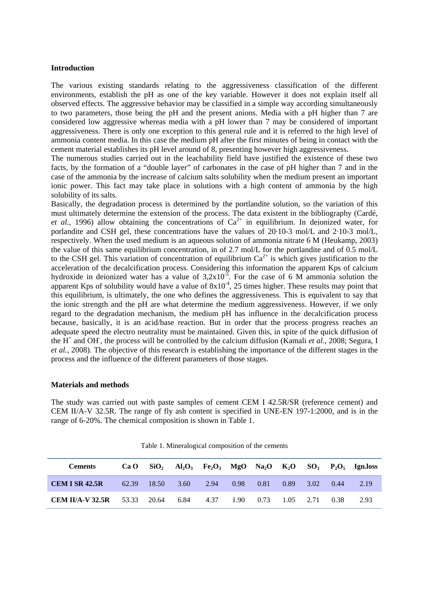### **Introduction**

The various existing standards relating to the aggressiveness classification of the different environments, establish the pH as one of the key variable. However it does not explain itself all observed effects. The aggressive behavior may be classified in a simple way according simultaneously to two parameters, those being the pH and the present anions. Media with a pH higher than 7 are considered low aggressive whereas media with a pH lower than 7 may be considered of important aggressiveness. There is only one exception to this general rule and it is referred to the high level of ammonia content media. In this case the medium pH after the first minutes of being in contact with the cement material establishes its pH level around of 8, presenting however high aggressiveness.

The numerous studies carried out in the leachability field have justified the existence of these two facts, by the formation of a "double layer" of carbonates in the case of pH higher than 7 and in the case of the ammonia by the increase of calcium salts solubility when the medium present an important ionic power. This fact may take place in solutions with a high content of ammonia by the high solubility of its salts.

Basically, the degradation process is determined by the portlandite solution, so the variation of this must ultimately determine the extension of the process. The data existent in the bibliography (Cardé, *et al.*, 1996) allow obtaining the concentrations of  $Ca^{2+}$  in equilibrium. In deionized water, for porlandite and CSH gel, these concentrations have the values of 20·10-3 mol/L and 2·10-3 mol/L, respectively. When the used medium is an aqueous solution of ammonia nitrate 6 M (Heukamp, 2003) the value of this same equilibrium concentration, in of 2.7 mol/L for the portlandite and of 0.5 mol/L to the CSH gel. This variation of concentration of equilibrium  $Ca^{2+}$  is which gives justification to the acceleration of the decalcification process. Considering this information the apparent Kps of calcium hydroxide in deionized water has a value of  $3.2x10^{-5}$ . For the case of 6 M ammonia solution the apparent Kps of solubility would have a value of  $8x10<sup>-4</sup>$ , 25 times higher. These results may point that this equilibrium, is ultimately, the one who defines the aggressiveness. This is equivalent to say that the ionic strength and the pH are what determine the medium aggressiveness. However, if we only regard to the degradation mechanism, the medium pH has influence in the decalcification process because, basically, it is an acid/base reaction. But in order that the process progress reaches an adequate speed the electro neutrality must be maintained. Given this, in spite of the quick diffusion of the  $H^+$  and OH, the process will be controlled by the calcium diffusion (Kamali *et al.*, 2008; Segura, I *et al.*, 2008). The objective of this research is establishing the importance of the different stages in the process and the influence of the different parameters of those stages.

#### **Materials and methods**

The study was carried out with paste samples of cement CEM I 42.5R/SR (reference cement) and CEM II/A-V 32.5R. The range of fly ash content is specified in UNE-EN 197-1:2000, and is in the range of 6-20%. The chemical composition is shown in Table 1.

Table 1. Mineralogical composition of the cements

| <b>Cements</b>          | Ca O  |                |      |      |      |                                |      |      |      | $SiO2$ Al <sub>2</sub> O <sub>3</sub> Fe <sub>2</sub> O <sub>3</sub> MgO Na <sub>2</sub> O K <sub>2</sub> O SO <sub>3</sub> P <sub>2</sub> O <sub>5</sub> Ign.loss |
|-------------------------|-------|----------------|------|------|------|--------------------------------|------|------|------|--------------------------------------------------------------------------------------------------------------------------------------------------------------------|
| <b>CEM I SR 42.5R</b>   | 62.39 | $\sqrt{18.50}$ | 3.60 | 2.94 | 0.98 | 0.81                           | 0.89 | 3.02 | 0.44 | 2.19                                                                                                                                                               |
| <b>CEM II/A-V 32.5R</b> | 53.33 | 20.64          | 6.84 | 4.37 |      | $1.90 \t 0.73 \t 1.05 \t 2.71$ |      |      | 0.38 | 2.93                                                                                                                                                               |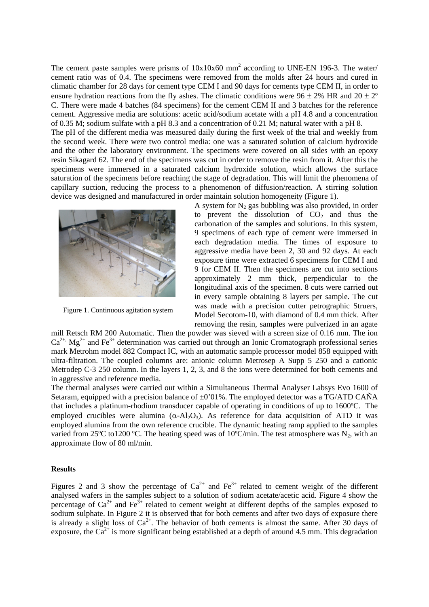The cement paste samples were prisms of  $10x10x60$  mm<sup>2</sup> according to UNE-EN 196-3. The water/ cement ratio was of 0.4. The specimens were removed from the molds after 24 hours and cured in climatic chamber for 28 days for cement type CEM I and 90 days for cements type CEM II, in order to ensure hydration reactions from the fly ashes. The climatic conditions were  $96 \pm 2\%$  HR and  $20 \pm 2\degree$ C. There were made 4 batches (84 specimens) for the cement CEM II and 3 batches for the reference cement. Aggressive media are solutions: acetic acid/sodium acetate with a pH 4.8 and a concentration of 0.35 M; sodium sulfate with a pH 8.3 and a concentration of 0.21 M; natural water with a pH 8.

The pH of the different media was measured daily during the first week of the trial and weekly from the second week. There were two control media: one was a saturated solution of calcium hydroxide and the other the laboratory environment. The specimens were covered on all sides with an epoxy resin Sikagard 62. The end of the specimens was cut in order to remove the resin from it. After this the specimens were immersed in a saturated calcium hydroxide solution, which allows the surface saturation of the specimens before reaching the stage of degradation. This will limit the phenomena of capillary suction, reducing the process to a phenomenon of diffusion/reaction. A stirring solution device was designed and manufactured in order maintain solution homogeneity (Figure 1).



Figure 1. Continuous agitation system

A system for  $N_2$  gas bubbling was also provided, in order to prevent the dissolution of  $CO<sub>2</sub>$  and thus the carbonation of the samples and solutions. In this system, 9 specimens of each type of cement were immersed in each degradation media. The times of exposure to aggressive media have been 2, 30 and 92 days. At each exposure time were extracted 6 specimens for CEM I and 9 for CEM II. Then the specimens are cut into sections approximately 2 mm thick, perpendicular to the longitudinal axis of the specimen. 8 cuts were carried out in every sample obtaining 8 layers per sample. The cut was made with a precision cutter petrographic Struers, Model Secotom-10, with diamond of 0.4 mm thick. After removing the resin, samples were pulverized in an agate

mill Retsch RM 200 Automatic. Then the powder was sieved with a screen size of 0.16 mm. The ion  $Ca^{2+}$ , Mg<sup>2+</sup> and Fe<sup>3+</sup> determination was carried out through an Ionic Cromatograph professional series mark Metrohm model 882 Compact IC, with an automatic sample processor model 858 equipped with ultra-filtration. The coupled columns are: anionic column Metrosep A Supp 5 250 and a cationic Metrodep C-3 250 column. In the layers 1, 2, 3, and 8 the ions were determined for both cements and in aggressive and reference media.

The thermal analyses were carried out within a Simultaneous Thermal Analyser Labsys Evo 1600 of Setaram, equipped with a precision balance of  $\pm 0.01\%$ . The employed detector was a TG/ATD CAÑA that includes a platinum-rhodium transducer capable of operating in conditions of up to 1600ºC. The employed crucibles were alumina  $(\alpha-A_1,O_3)$ . As reference for data acquisition of ATD it was employed alumina from the own reference crucible. The dynamic heating ramp applied to the samples varied from 25°C to1200 °C. The heating speed was of 10°C/min. The test atmosphere was  $N_2$ , with an approximate flow of 80 ml/min.

# **Results**

Figures 2 and 3 show the percentage of  $Ca^{2+}$  and  $Fe^{3+}$  related to cement weight of the different analysed wafers in the samples subject to a solution of sodium acetate/acetic acid. Figure 4 show the percentage of  $Ca^{2+}$  and  $Fe^{3+}$  related to cement weight at different depths of the samples exposed to sodium sulphate. In Figure 2 it is observed that for both cements and after two days of exposure there is already a slight loss of  $Ca^{2+}$ . The behavior of both cements is almost the same. After 30 days of  $Ca^{2+}$ . exposure, the  $Ca^{2+}$  is more significant being established at a depth of around 4.5 mm. This degradation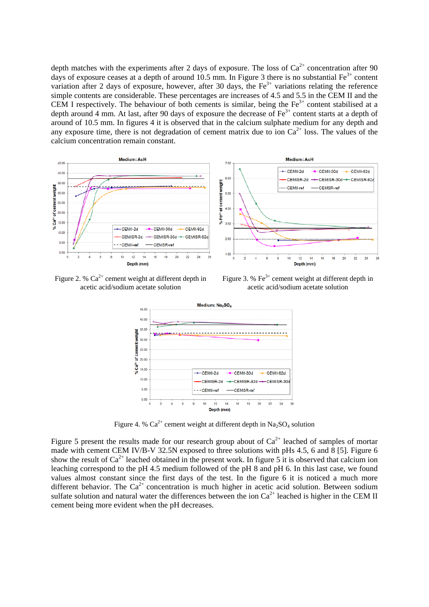depth matches with the experiments after 2 days of exposure. The loss of  $Ca^{2+}$  concentration after 90 days of exposure ceases at a depth of around 10.5 mm. In Figure 3 there is no substantial  $Fe^{3+}$  content variation after 2 days of exposure, however, after 30 days, the  $Fe<sup>3+</sup>$  variations relating the reference simple contents are considerable. These percentages are increases of 4.5 and 5.5 in the CEM II and the CEM I respectively. The behaviour of both cements is similar, being the  $Fe<sup>3+</sup>$  content stabilised at a depth around 4 mm. At last, after 90 days of exposure the decrease of Fe<sup>3+</sup> content starts at a depth of around of 10.5 mm. In figures 4 it is observed that in the calcium sulphate medium for any depth and any exposure time, there is not degradation of cement matrix due to ion  $Ca<sup>2+</sup>$  loss. The values of the calcium concentration remain constant.



Figure 2. %  $Ca^{2+}$  cement weight at different depth in acetic acid/sodium acetate solution

Figure 3. %  $Fe<sup>3+</sup>$  cement weight at different depth in acetic acid/sodium acetate solution



Figure 4. %  $Ca^{2+}$  cement weight at different depth in Na<sub>2</sub>SO<sub>4</sub> solution

Figure 5 present the results made for our research group about of  $Ca^{2+}$  leached of samples of mortar made with cement CEM IV/B-V 32.5N exposed to three solutions with pHs 4.5, 6 and  $\overline{8}$  [5]. Figure 6 show the result of  $Ca^{2+}$  leached obtained in the present work. In figure 5 it is observed that calcium ion leaching correspond to the pH 4.5 medium followed of the pH 8 and pH 6. In this last case, we found values almost constant since the first days of the test. In the figure 6 it is noticed a much more different behavior. The  $Ca^{2+}$  concentration is much higher in acetic acid solution. Between sodium sulfate solution and natural water the differences between the ion  $Ca^{2+}$  leached is higher in the CEM II cement being more evident when the pH decreases.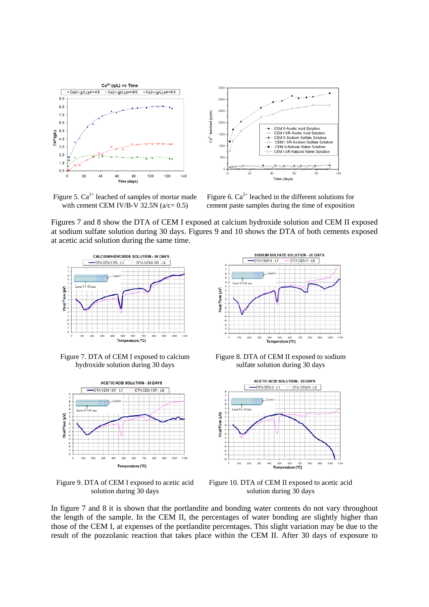



Figure 5.  $Ca^{2+}$  leached of samples of mortar made with cement CEM IV/B-V  $32.5N$  ( $a/c = 0.5$ )

Figure 6.  $Ca^{2+}$  leached in the different solutions for cement paste samples during the time of exposition

Figures 7 and 8 show the DTA of CEM I exposed at calcium hydroxide solution and CEM II exposed at sodium sulfate solution during 30 days. Figures 9 and 10 shows the DTA of both cements exposed at acetic acid solution during the same time.



Figure 7. DTA of CEM I exposed to calcium hydroxide solution during 30 days



Figure 9. DTA of CEM I exposed to acetic acid solution during 30 days



Figure 8. DTA of CEM II exposed to sodium sulfate solution during 30 days



Figure 10. DTA of CEM II exposed to acetic acid solution during 30 days

In figure 7 and 8 it is shown that the portlandite and bonding water contents do not vary throughout the length of the sample. In the CEM II, the percentages of water bonding are slightly higher than those of the CEM I, at expenses of the portlandite percentages. This slight variation may be due to the result of the pozzolanic reaction that takes place within the CEM II. After 30 days of exposure to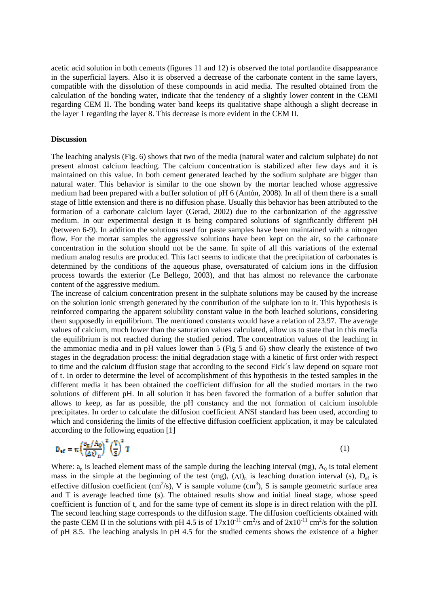acetic acid solution in both cements (figures 11 and 12) is observed the total portlandite disappearance in the superficial layers. Also it is observed a decrease of the carbonate content in the same layers, compatible with the dissolution of these compounds in acid media. The resulted obtained from the calculation of the bonding water, indicate that the tendency of a slightly lower content in the CEMI regarding CEM II. The bonding water band keeps its qualitative shape although a slight decrease in the layer 1 regarding the layer 8. This decrease is more evident in the CEM II.

#### **Discussion**

The leaching analysis (Fig. 6) shows that two of the media (natural water and calcium sulphate) do not present almost calcium leaching. The calcium concentration is stabilized after few days and it is maintained on this value. In both cement generated leached by the sodium sulphate are bigger than natural water. This behavior is similar to the one shown by the mortar leached whose aggressive medium had been prepared with a buffer solution of pH 6 (Antón, 2008). In all of them there is a small stage of little extension and there is no diffusion phase. Usually this behavior has been attributed to the formation of a carbonate calcium layer (Gerad, 2002) due to the carbonization of the aggressive medium. In our experimental design it is being compared solutions of significantly different pH (between 6-9). In addition the solutions used for paste samples have been maintained with a nitrogen flow. For the mortar samples the aggressive solutions have been kept on the air, so the carbonate concentration in the solution should not be the same. In spite of all this variations of the external medium analog results are produced. This fact seems to indicate that the precipitation of carbonates is determined by the conditions of the aqueous phase, oversaturated of calcium ions in the diffusion process towards the exterior (Le Bellego, 2003), and that has almost no relevance the carbonate content of the aggressive medium.

The increase of calcium concentration present in the sulphate solutions may be caused by the increase on the solution ionic strength generated by the contribution of the sulphate ion to it. This hypothesis is reinforced comparing the apparent solubility constant value in the both leached solutions, considering them supposedly in equilibrium. The mentioned constants would have a relation of 23.97. The average values of calcium, much lower than the saturation values calculated, allow us to state that in this media the equilibrium is not reached during the studied period. The concentration values of the leaching in the ammoniac media and in pH values lower than 5 (Fig 5 and 6) show clearly the existence of two stages in the degradation process: the initial degradation stage with a kinetic of first order with respect to time and the calcium diffusion stage that according to the second Fick´s law depend on square root of t. In order to determine the level of accomplishment of this hypothesis in the tested samples in the different media it has been obtained the coefficient diffusion for all the studied mortars in the two solutions of different pH. In all solution it has been favored the formation of a buffer solution that allows to keep, as far as possible, the pH constancy and the not formation of calcium insoluble precipitates. In order to calculate the diffusion coefficient ANSI standard has been used, according to which and considering the limits of the effective diffusion coefficient application, it may be calculated according to the following equation [1]

$$
D_{\text{eff}} = \pi \left(\frac{\rho_{\text{m}}/A_0}{\left(\Delta t\right)_n}\right)^2 \left(\frac{V}{S}\right)^2 T
$$
 (1)

Where:  $a_n$  is leached element mass of the sample during the leaching interval (mg),  $A_0$  is total element mass in the simple at the beginning of the test (mg),  $(\Delta t)$ <sub>n</sub> is leaching duration interval (s), D<sub>ef</sub> is effective diffusion coefficient  $\rm (cm^2/s)$ , V is sample volume  $\rm (cm^3)$ , S is sample geometric surface area and T is average leached time (s). The obtained results show and initial lineal stage, whose speed coefficient is function of t, and for the same type of cement its slope is in direct relation with the pH. The second leaching stage corresponds to the diffusion stage. The diffusion coefficients obtained with the paste CEM II in the solutions with pH 4.5 is of  $17x10^{-11}$  cm<sup>2</sup>/s and of  $2x10^{-11}$  cm<sup>2</sup>/s for the solution of pH 8.5. The leaching analysis in pH 4.5 for the studied cements shows the existence of a higher